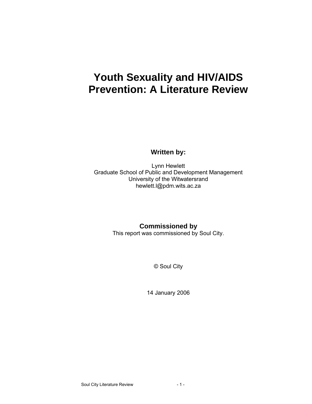# **Youth Sexuality and HIV/AIDS Prevention: A Literature Review**

**Written by:** 

Lynn Hewlett Graduate School of Public and Development Management University of the Witwatersrand hewlett.l@pdm.wits.ac.za

**Commissioned by** 

This report was commissioned by Soul City.

© Soul City

14 January 2006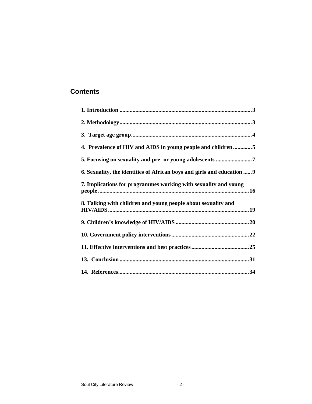# **Contents**

| 4. Prevalence of HIV and AIDS in young people and children 5            |
|-------------------------------------------------------------------------|
|                                                                         |
| 6. Sexuality, the identities of African boys and girls and education  9 |
| 7. Implications for programmes working with sexuality and young         |
| 8. Talking with children and young people about sexuality and           |
|                                                                         |
|                                                                         |
|                                                                         |
|                                                                         |
|                                                                         |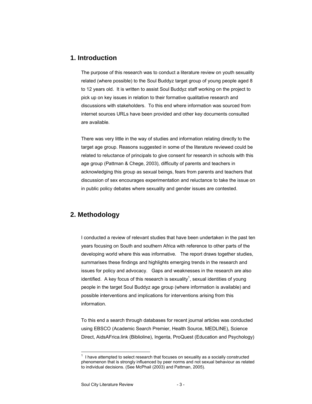# **1. Introduction**

The purpose of this research was to conduct a literature review on youth sexuality related (where possible) to the Soul Buddyz target group of young people aged 8 to 12 years old. It is written to assist Soul Buddyz staff working on the project to pick up on key issues in relation to their formative qualitative research and discussions with stakeholders. To this end where information was sourced from internet sources URLs have been provided and other key documents consulted are available.

There was very little in the way of studies and information relating directly to the target age group. Reasons suggested in some of the literature reviewed could be related to reluctance of principals to give consent for research in schools with this age group (Pattman & Chege, 2003), difficulty of parents and teachers in acknowledging this group as sexual beings, fears from parents and teachers that discussion of sex encourages experimentation and reluctance to take the issue on in public policy debates where sexuality and gender issues are contested.

# **2. Methodology**

I conducted a review of relevant studies that have been undertaken in the past ten years focusing on South and southern Africa with reference to other parts of the developing world where this was informative. The report draws together studies, summarises these findings and highlights emerging trends in the research and issues for policy and advocacy. Gaps and weaknesses in the research are also identified. A key focus of this research is sexuality<sup>1</sup>, sexual identities of young people in the target Soul Buddyz age group (where information is available) and possible interventions and implications for interventions arising from this information.

To this end a search through databases for recent journal articles was conducted using EBSCO (Academic Search Premier, Health Source, MEDLINE), Science Direct, AidsAFrica.link (Biblioline), Ingenta, ProQuest (Education and Psychology)

 $1$  I have attempted to select research that focuses on sexuality as a socially constructed phenomenon that is strongly influenced by peer norms and not sexual behaviour as related to individual decisions. (See McPhail (2003) and Pattman, 2005).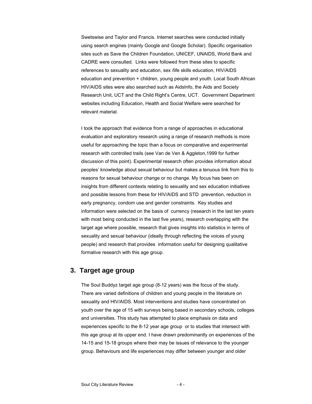Swetswise and Taylor and Francis. Internet searches were conducted initially using search engines (mainly Google and Google Scholar). Specific organisation sites such as Save the Children Foundation, UNICEF, UNAIDS, World Bank and CADRE were consulted. Links were followed from these sites to specific references to sexuality and education, sex /life skills education, HIV/AIDS education and prevention + children, young people and youth. Local South African HIV/AIDS sites were also searched such as AidsInfo, the Aids and Society Research Unit, UCT and the Child Right's Centre, UCT. Government Department websites including Education, Health and Social Welfare were searched for relevant material.

I took the approach that evidence from a range of approaches in educational evaluation and exploratory research using a range of research methods is more useful for approaching the topic than a focus on comparative and experimental research with controlled trails (see Van de Ven & Aggleton,1999 for further discussion of this point). Experimental research often provides information about peoples' knowledge about sexual behaviour but makes a tenuous link from this to reasons for sexual behaviour change or no change. My focus has been on insights from different contexts relating to sexuality and sex education initiatives and possible lessons from these for HIV/AIDS and STD prevention, reduction in early pregnancy, condom use and gender constraints. Key studies and information were selected on the basis of currency (research in the last ten years with most being conducted in the last five years), research overlapping with the target age where possible, research that gives insights into statistics in terms of sexuality and sexual behaviour (ideally through reflecting the voices of young people) and research that provides information useful for designing qualitative formative research with this age group.

# **3. Target age group**

The Soul Buddyz target age group (8-12 years) was the focus of the study. There are varied definitions of children and young people in the literature on sexuality and HIV/AIDS. Most interventions and studies have concentrated on youth over the age of 15 with surveys being based in secondary schools, colleges and universities. This study has attempted to place emphasis on data and experiences specific to the 8-12 year age group or to studies that intersect with this age group at its upper end. I have drawn predominantly on experiences of the 14-15 and 15-18 groups where their may be issues of relevance to the younger group. Behaviours and life experiences may differ between younger and older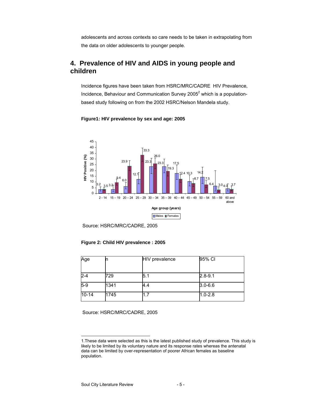adolescents and across contexts so care needs to be taken in extrapolating from the data on older adolescents to younger people.

# **4. Prevalence of HIV and AIDS in young people and children**

Incidence figures have been taken from HSRC/MRC/CADRE HIV Prevalence, Incidence, Behaviour and Communication Survey 2005 $^2$  which is a populationbased study following on from the 2002 HSRC/Nelson Mandela study.



# **Figure1: HIV prevalence by sex and age: 2005**

# **Figure 2: Child HIV prevalence : 2005**

| Age       |      | <b>HIV</b> prevalence | 95% CI      |
|-----------|------|-----------------------|-------------|
|           |      |                       |             |
| $2 - 4$   | 729  | 5.1                   | $2.8 - 9.1$ |
| $5-9$     | 1341 | 4.4                   | $3.0 - 6.6$ |
| $10 - 14$ | 1745 | 1.7                   | $1.0 - 2.8$ |

Source: HSRC/MRC/CADRE, 2005

Source: HSRC/MRC/CADRE, 2005

<sup>1.</sup>These data were selected as this is the latest published study of prevalence. This study is likely to be limited by its voluntary nature and its response rates whereas the antenatal data can be limited by over-representation of poorer African females as baseline population.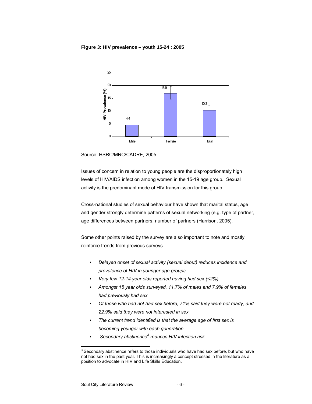### **Figure 3: HIV prevalence – youth 15-24 : 2005**



Source: HSRC/MRC/CADRE, 2005

Issues of concern in relation to young people are the disproportionately high levels of HIV/AIDS infection among women in the 15-19 age group. Sexual activity is the predominant mode of HIV transmission for this group.

Cross-national studies of sexual behaviour have shown that marital status, age and gender strongly determine patterns of sexual networking (e.g. type of partner, age differences between partners, number of partners (Harrison, 2005).

Some other points raised by the survey are also important to note and mostly reinforce trends from previous surveys.

- *Delayed onset of sexual activity (sexual debut) reduces incidence and prevalence of HIV in younger age groups*
- *Very few 12-14 year olds reported having had sex (<2%)*
- *Amongst 15 year olds surveyed, 11.7% of males and 7.9% of females had previously had sex*
- *Of those who had not had sex before, 71% said they were not ready, and 22.9% said they were not interested in sex*
- *The current trend identified is that the average age of first sex is becoming younger with each generation*
- • *Secondary abstinence<sup>3</sup> reduces HIV infection risk*

 $3$  Secondary abstinence refers to those individuals who have had sex before, but who have not had sex in the past year. This is increasingly a concept stressed in the literature as a position to advocate in HIV and Life Skills Education.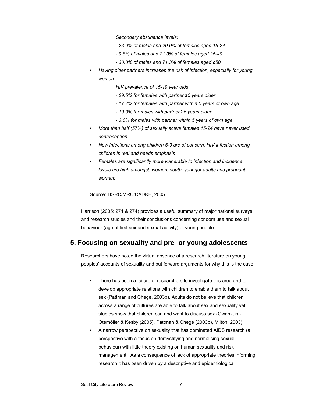*Secondary abstinence levels:* 

- *23.0% of males and 20.0% of females aged 15-24*
- *9.8% of males and 21.3% of females aged 25-49*
- *30.3% of males and 71.3% of females aged ≥50*
- *Having older partners increases the risk of infection, especially for young women* 
	- *HIV prevalence of 15-19 year olds*
	- *29.5% for females with partner ≥5 years older*
	- *17.2% for females with partner within 5 years of own age*
	- *19.0% for males with partner ≥5 years older*
	- *3.0% for males with partner within 5 years of own age*
- *More than half (57%) of sexually active females 15-24 have never used contraception*
- *New infections among children 5-9 are of concern. HIV infection among children is real and needs emphasis*
- *Females are significantly more vulnerable to infection and incidence levels are high amongst, women, youth, younger adults and pregnant women;*

#### Source: HSRC/MRC/CADRE, 2005

Harrison (2005: 271 & 274) provides a useful summary of major national surveys and research studies and their conclusions concerning condom use and sexual behaviour (age of first sex and sexual activity) of young people.

# **5. Focusing on sexuality and pre- or young adolescents**

Researchers have noted the virtual absence of a research literature on young peoples' accounts of sexuality and put forward arguments for why this is the case.

- There has been a failure of researchers to investigate this area and to develop appropriate relations with children to enable them to talk about sex (Pattman and Chege, 2003b). Adults do not believe that children across a range of cultures are able to talk about sex and sexuality yet studies show that children can and want to discuss sex (Gwanzura-Otemőller & Kesby (2005), Pattman & Chege (2003b), Milton, 2003).
- A narrow perspective on sexuality that has dominated AIDS research (a perspective with a focus on demystifying and normalising sexual behaviour) with little theory existing on human sexuality and risk management. As a consequence of lack of appropriate theories informing research it has been driven by a descriptive and epidemiological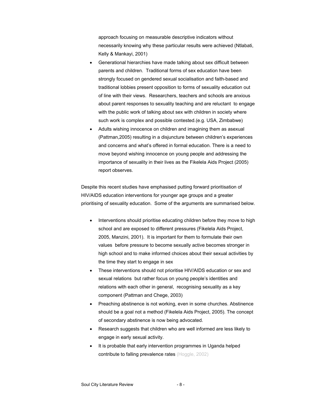approach focusing on measurable descriptive indicators without necessarily knowing why these particular results were achieved (Ntlabati, Kelly & Mankayi, 2001)

- Generational hierarchies have made talking about sex difficult between parents and children. Traditional forms of sex education have been strongly focused on gendered sexual socialisation and faith-based and traditional lobbies present opposition to forms of sexuality education out of line with their views. Researchers, teachers and schools are anxious about parent responses to sexuality teaching and are reluctant to engage with the public work of talking about sex with children in society where such work is complex and possible contested.(e.g. USA, Zimbabwe)
- Adults wishing innocence on children and imagining them as asexual (Pattman,2005) resulting in a disjuncture between children's experiences and concerns and what's offered in formal education. There is a need to move beyond wishing innocence on young people and addressing the importance of sexuality in their lives as the Fikelela Aids Project (2005) report observes.

Despite this recent studies have emphasised putting forward prioritisation of HIV/AIDS education interventions for younger age groups and a greater prioritising of sexuality education. Some of the arguments are summarised below.

- Interventions should prioritise educating children before they move to high school and are exposed to different pressures (Fikelela Aids Project, 2005, Manzini, 2001). It is important for them to formulate their own values before pressure to become sexually active becomes stronger in high school and to make informed choices about their sexual activities by the time they start to engage in sex
- These interventions should not prioritise HIV/AIDS education or sex and sexual relations but rather focus on young people's identities and relations with each other in general, recognising sexuality as a key component (Pattman and Chege, 2003)
- Preaching abstinence is not working, even in some churches. Abstinence should be a goal not a method (Fikelela Aids Project, 2005). The concept of secondary abstinence is now being advocated.
- Research suggests that children who are well informed are less likely to engage in early sexual activity.
- It is probable that early intervention programmes in Uganda helped contribute to falling prevalence rates (Hoggle, 2002)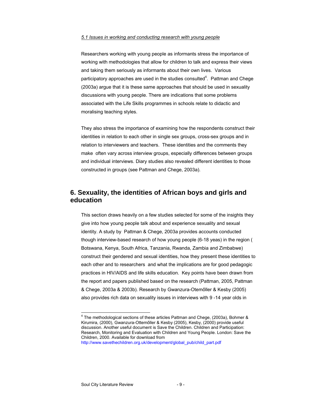#### *5.1 Issues in working and conducting research with young people*

Researchers working with young people as informants stress the importance of working with methodologies that allow for children to talk and express their views and taking them seriously as informants about their own lives. Various participatory approaches are used in the studies consulted $4$ . Pattman and Chege (2003a) argue that it is these same approaches that should be used in sexuality discussions with young people. There are indications that some problems associated with the Life Skills programmes in schools relate to didactic and moralising teaching styles.

They also stress the importance of examining how the respondents construct their identities in relation to each other in single sex groups, cross-sex groups and in relation to interviewers and teachers. These identities and the comments they make often vary across interview groups, especially differences between groups and individual interviews. Diary studies also revealed different identities to those constructed in groups (see Pattman and Chege, 2003a).

# **6. Sexuality, the identities of African boys and girls and education**

This section draws heavily on a few studies selected for some of the insights they give into how young people talk about and experience sexuality and sexual identity. A study by Pattman & Chege, 2003a provides accounts conducted though interview-based research of how young people (6-18 yeas) in the region ( Botswana, Kenya, South Africa, Tanzania, Rwanda, Zambia and Zimbabwe) construct their gendered and sexual identities, how they present these identities to each other and to researchers and what the implications are for good pedagogic practices in HIV/AIDS and life skills education. Key points have been drawn from the report and papers published based on the research (Pattman, 2005, Pattman & Chege, 2003a & 2003b). Research by Gwanzura-Otemőller & Kesby (2005) also provides rich data on sexuality issues in interviews with 9 -14 year olds in

 $4$  The methodological sections of these articles Pattman and Chege, (2003a), Bohmer & Kirumira, (2000), Gwanzura-Ottemőller & Kesby (2005), Kesby, (2000) provide useful discussion. Another useful document is Save the Children. Children and Participation: Research, Monitoring and Evaluation with Children and Young People. London: Save the Children, 2000. Available for download from

http://www.savethechildren.org.uk/development/global\_pub/child\_part.pdf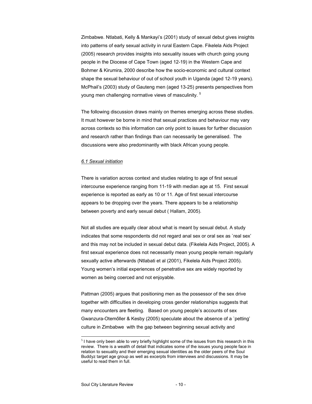Zimbabwe. Ntlabati, Kelly & Mankayi's (2001) study of sexual debut gives insights into patterns of early sexual activity in rural Eastern Cape. Fikelela Aids Project (2005) research provides insights into sexuality issues with church going young people in the Diocese of Cape Town (aged 12-19) in the Western Cape and Bohmer & Kirumira, 2000 describe how the socio-economic and cultural context shape the sexual behaviour of out of school youth in Uganda (aged 12-19 years). McPhail's (2003) study of Gauteng men (aged 13-25) presents perspectives from young men challenging normative views of masculinity.  $5$ 

The following discussion draws mainly on themes emerging across these studies. It must however be borne in mind that sexual practices and behaviour may vary across contexts so this information can only point to issues for further discussion and research rather than findings than can necessarily be generalised. The discussions were also predominantly with black African young people.

#### *6.1 Sexual initiation*

There is variation across context and studies relating to age of first sexual intercourse experience ranging from 11-19 with median age at 15. First sexual experience is reported as early as 10 or 11. Age of first sexual intercourse appears to be dropping over the years. There appears to be a relationship between poverty and early sexual debut ( Hallam, 2005).

Not all studies are equally clear about what is meant by sexual debut. A study indicates that some respondents did not regard anal sex or oral sex as `real sex' and this may not be included in sexual debut data. (Fikelela Aids Project, 2005). A first sexual experience does not necessarily mean young people remain regularly sexually active afterwards (Ntlabati et al (2001), Fikelela Aids Project 2005). Young women's initial experiences of penetrative sex are widely reported by women as being coerced and not enjoyable.

Pattman (2005) argues that positioning men as the possessor of the sex drive together with difficulties in developing cross gender relationships suggests that many encounters are fleeting. Based on young people's accounts of sex Gwanzura-Otemőller & Kesby (2005) speculate about the absence of a `petting' culture in Zimbabwe with the gap between beginning sexual activity and

 $<sup>5</sup>$  I have only been able to very briefly highlight some of the issues from this research in this</sup> review. There is a wealth of detail that indicates some of the issues young people face in relation to sexuality and their emerging sexual identities as the older peers of the Soul Buddyz target age group as well as excerpts from interviews and discussions. It may be useful to read them in full.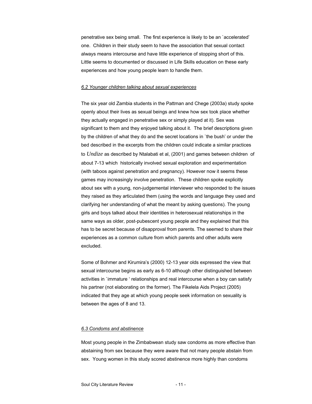penetrative sex being small. The first experience is likely to be an `accelerated' one. Children in their study seem to have the association that sexual contact always means intercourse and have little experience of stopping short of this. Little seems to documented or discussed in Life Skills education on these early experiences and how young people learn to handle them.

#### *6.2 Younger children talking about sexual experiences*

The six year old Zambia students in the Pattman and Chege (2003a) study spoke openly about their lives as sexual beings and knew how sex took place whether they actually engaged in penetrative sex or simply played at it). Sex was significant to them and they enjoyed talking about it. The brief descriptions given by the children of what they do and the secret locations in `the bush' or under the bed described in the excerpts from the children could indicate a similar practices to *Undize* as described by Ntalabati et al, (2001) and games between children of about 7-13 which historically involved sexual exploration and experimentation (with taboos against penetration and pregnancy). However now it seems these games may increasingly involve penetration. These children spoke explicitly about sex with a young, non-judgemental interviewer who responded to the issues they raised as they articulated them (using the words and language they used and clarifying her understanding of what the meant by asking questions). The young girls and boys talked about their identities in heterosexual relationships in the same ways as older, post-pubescent young people and they explained that this has to be secret because of disapproval from parents. The seemed to share their experiences as a common culture from which parents and other adults were excluded.

Some of Bohmer and Kirumira's (2000) 12-13 year olds expressed the view that sexual intercourse begins as early as 6-10 although other distinguished between activities in `immature ' relationships and real intercourse when a boy can satisfy his partner (not elaborating on the former). The Fikelela Aids Project (2005) indicated that they age at which young people seek information on sexuality is between the ages of 8 and 13.

### *6.3 Condoms and abstinence*

Most young people in the Zimbabwean study saw condoms as more effective than abstaining from sex because they were aware that not many people abstain from sex. Young women in this study scored abstinence more highly than condoms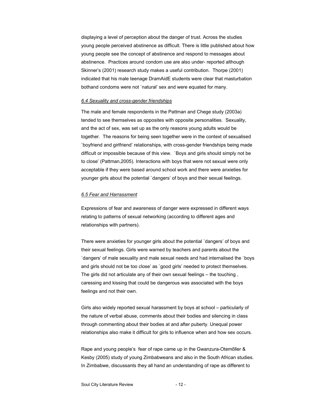displaying a level of perception about the danger of trust. Across the studies young people perceived abstinence as difficult. There is little published about how young people see the concept of abstinence and respond to messages about abstinence. Practices around condom use are also under- reported although Skinner's (2001) research study makes a useful contribution. Thorpe (2001) indicated that his male teenage DramAidE students were clear that masturbation bothand condoms were not `natural' sex and were equated for many.

#### *6.4 Sexuality and cross-gender friendships*

The male and female respondents in the Pattman and Chege study (2003a) tended to see themselves as opposites with opposite personalities. Sexuality, and the act of sex, was set up as the only reasons young adults would be together. The reasons for being seen together were in the context of sexualised `boyfriend and girlfriend' relationships, with cross-gender friendships being made difficult or impossible because of this view. `Boys and girls should simply not be to close' (Pattman,2005). Interactions with boys that were not sexual were only acceptable if they were based around school work and there were anxieties for younger girls about the potential `dangers' of boys and their sexual feelings.

#### *6.5 Fear and Harrassment*

Expressions of fear and awareness of danger were expressed in different ways relating to patterns of sexual networking (according to different ages and relationships with partners).

There were anxieties for younger girls about the potential `dangers' of boys and their sexual feelings. Girls were warned by teachers and parents about the `dangers' of male sexuality and male sexual needs and had internalised the `boys and girls should not be too close' as `good girls' needed to protect themselves. The girls did not articulate any of their own sexual feelings – the touching , caressing and kissing that could be dangerous was associated with the boys feelings and not their own.

Girls also widely reported sexual harassment by boys at school – particularly of the nature of verbal abuse, comments about their bodies and silencing in class through commenting about their bodies at and after puberty. Unequal power relationships also make it difficult for girls to influence when and how sex occurs.

Rape and young people's fear of rape came up in the Gwanzura-Otemőller & Kesby (2005) study of young Zimbabweans and also in the South African studies. In Zimbabwe, discussants they all hand an understanding of rape as different to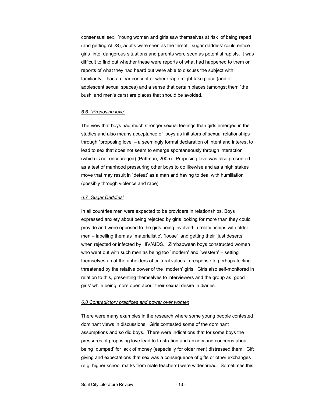consensual sex. Young women and girls saw themselves at risk of being raped (and getting AIDS), adults were seen as the threat, `sugar daddies' could entice girls into dangerous situations and parents were seen as potential rapists. It was difficult to find out whether these were reports of what had happened to them or reports of what they had heard but were able to discuss the subject with familiarity, had a clear concept of where rape might take place (and of adolescent sexual spaces) and a sense that certain places (amongst them `the bush' and men's cars) are places that should be avoided.

### *6.6. `Proposing love'*

The view that boys had much stronger sexual feelings than girls emerged in the studies and also means acceptance of boys as initiators of sexual relationships through `proposing love' – a seemingly formal declaration of intent and interest to lead to sex that does not seem to emerge spontaneously through interaction (which is not encouraged) (Pattman, 2005). Proposing love was also presented as a test of manhood pressuring other boys to do likewise and as a high stakes move that may result in `defeat' as a man and having to deal with humiliation (possibly through violence and rape).

#### *6.7 `Sugar Daddies'*

In all countries men were expected to be providers in relationships. Boys expressed anxiety about being rejected by girls looking for more than they could provide and were opposed to the girls being involved in relationships with older men – labelling them as `materialistic', `loose' and getting their `just deserts' when rejected or infected by HIV/AIDS. Zimbabwean boys constructed women who went out with such men as being too 'modern' and 'western' – setting themselves up at the upholders of cultural values in response to perhaps feeling threatened by the relative power of the `modern' girls. Girls also self-monitored in relation to this, presenting themselves to interviewers and the group as `good girls' while being more open about their sexual desire in diaries.

### *6.8 Contradictory practices and power over women*

There were many examples in the research where some young people contested dominant views in discussions. Girls contested some of the dominant assumptions and so did boys. There were indications that for some boys the pressures of proposing love lead to frustration and anxiety and concerns about being `dumped' for lack of money (especially for older men) distressed them. Gift giving and expectations that sex was a consequence of gifts or other exchanges (e.g. higher school marks from male teachers) were widespread. Sometimes this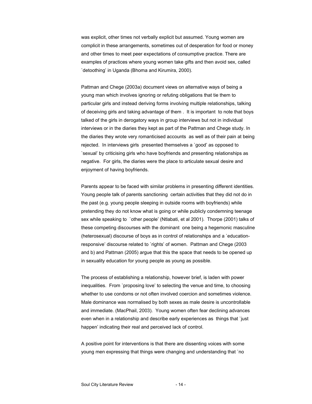was explicit, other times not verbally explicit but assumed. Young women are complicit in these arrangements, sometimes out of desperation for food or money and other times to meet peer expectations of consumptive practice. There are examples of practices where young women take gifts and then avoid sex, called `detoothing' in Uganda (Bhoma and Kirumira, 2000).

Pattman and Chege (2003a) document views on alternative ways of being a young man which involves ignoring or refuting obligations that tie them to particular girls and instead deriving forms involving multiple relationships, talking of deceiving girls and taking advantage of them . It is important to note that boys talked of the girls in derogatory ways in group interviews but not in individual interviews or in the diaries they kept as part of the Pattman and Chege study. In the diaries they wrote very romanticised accounts as well as of their pain at being rejected. In interviews girls presented themselves a `good' as opposed to `sexual' by criticising girls who have boyfriends and presenting relationships as negative. For girls, the diaries were the place to articulate sexual desire and enjoyment of having boyfriends.

Parents appear to be faced with similar problems in presenting different identities. Young people talk of parents sanctioning certain activities that they did not do in the past (e.g. young people sleeping in outside rooms with boyfriends) while pretending they do not know what is going or while publicly condemning teenage sex while speaking to `other people' (Ntlabati, et al 2001). Thorpe (2001) talks of these competing discourses with the dominant one being a hegemonic masculine (heterosexual) discourse of boys as in control of relationships and a `educationresponsive' discourse related to `rights' of women. Pattman and Chege (2003 and b) and Pattman (2005) argue that this the space that needs to be opened up in sexuality education for young people as young as possible.

The process of establishing a relationship, however brief, is laden with power inequalities. From `proposing love' to selecting the venue and time, to choosing whether to use condoms or not often involved coercion and sometimes violence. Male dominance was normalised by both sexes as male desire is uncontrollable and immediate. (MacPhail, 2003). Young women often fear declining advances even when in a relationship and describe early experiences as things that `just happen' indicating their real and perceived lack of control.

A positive point for interventions is that there are dissenting voices with some young men expressing that things were changing and understanding that `no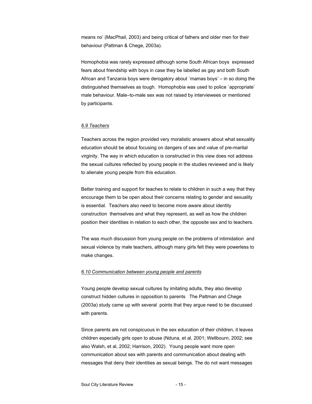means no' (MacPhail, 2003) and being critical of fathers and older men for their behaviour (Pattman & Chege, 2003a).

Homophobia was rarely expressed although some South African boys expressed fears about friendship with boys in case they be labelled as gay and both South African and Tanzania boys were derogatory about `mamas boys' – in so doing the distinguished themselves as tough. Homophobia was used to police `appropriate' male behaviour. Male–to-male sex was not raised by interviewees or mentioned by participants.

### *6.9 Teachers*

Teachers across the region provided very moralistic answers about what sexuality education should be about focusing on dangers of sex and value of pre-marital virginity. The way in which education is constructed in this view does not address the sexual cultures reflected by young people in the studies reviewed and is likely to alienate young people from this education.

Better training and support for teaches to relate to children in such a way that they encourage them to be open about their concerns relating to gender and sexuality is essential. Teachers also need to become more aware about identity construction themselves and what they represent, as well as how the children position their identities in relation to each other, the opposite sex and to teachers.

The was much discussion from young people on the problems of intimidation and sexual violence by male teachers, although many girls felt they were powerless to make changes.

#### *6.10 Communication between young people and parents*

Young people develop sexual cultures by imitating adults, they also develop construct hidden cultures in opposition to parents The Pattman and Chege (2003a) study came up with several points that they argue need to be discussed with parents.

Since parents are not conspicuous in the sex education of their children, it leaves children especially girls open to abuse (Nduna, et al, 2001; Wellbourn, 2002; see also Walsh, et al, 2002; Harrison, 2002).Young people want more open communication about sex with parents and communication about dealing with messages that deny their identities as sexual beings. The do not want messages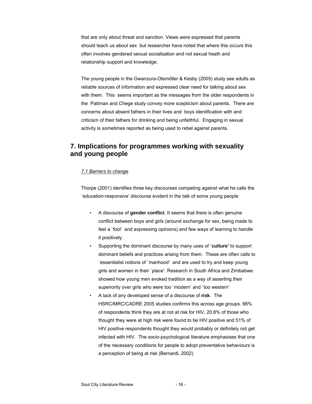that are only about threat and sanction. Views were expressed that parents should teach us about sex but researcher have noted that where this occurs this often involves gendered sexual socialisation and not sexual heath and relationship support and knowledge.

The young people in the Gwanzura-Otemőller & Kesby (2005) study see adults as reliable sources of information and expressed clear need for talking about sex with them. This seems important as the messages from the older respondents in the Pattman and Chege study convey more scepticism about parents. There are concerns about absent fathers in their lives and boys identification with and criticism of their fathers for drinking and being unfaithful. Engaging in sexual activity is sometimes reported as being used to rebel against parents.

# **7. Implications for programmes working with sexuality and young people**

### *7.1 Barriers to change*

Thorpe (2001) identifies three key discourses competing against what he calls the `education-responsive' discourse evident in the talk of some young people

- A discourse of **gender conflict**. It seems that there is often genuine conflict between boys and girls (around exchange for sex, being made to feel a `fool' and expressing opinions) and few ways of learning to handle it positively.
- Supporting the dominant discourse by many uses of **`culture'** to support dominant beliefs and practices arising from them. These are often calls to `essentialist notions of `manhood' and are used to try and keep young girls and women in their `place'. Research in South Africa and Zimbabwe showed how young men evoked tradition as a way of asserting their superiority over girls who were too `modern' and `too western'
- A lack of any developed sense of a discourse of **risk**. The HSRC/MRC/CADRE 2005 studies confirms this across age groups. 66% of respondents think they are at not at risk for HIV, 20.8% of those who thought they were at high risk were found to be HIV positive and 51% of HIV positive respondents thought they would probably or definitely not get infected with HIV. The socio-psychological literature emphasises that one of the necessary conditions for people to adopt preventative behaviours is a perception of being at risk (Bernardi, 2002)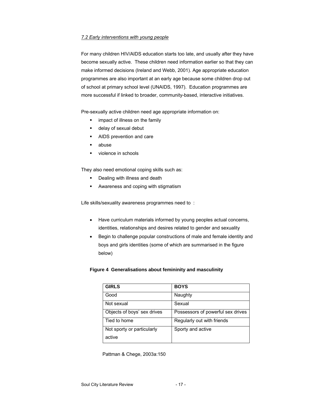### *7.2 Early interventions with young people*

For many children HIV/AIDS education starts too late, and usually after they have become sexually active. These children need information earlier so that they can make informed decisions (Ireland and Webb, 2001). Age appropriate education programmes are also important at an early age because some children drop out of school at primary school level (UNAIDS, 1997). Education programmes are more successful if linked to broader, community-based, interactive initiatives.

Pre-sexually active children need age appropriate information on:

- **EXEC** impact of illness on the family
- delay of sexual debut
- **AIDS** prevention and care
- abuse
- violence in schools

They also need emotional coping skills such as:

- **•** Dealing with illness and death
- **Awareness and coping with stigmatism**

Life skills/sexuality awareness programmes need to:

- Have curriculum materials informed by young peoples actual concerns, identities, relationships and desires related to gender and sexuality
- Begin to challenge popular constructions of male and female identity and boys and girls identities (some of which are summarised in the figure below)

# **Figure 4 Generalisations about femininity and masculinity**

| <b>GIRLS</b>                | <b>BOYS</b>                       |
|-----------------------------|-----------------------------------|
| Good                        | Naughty                           |
| Not sexual                  | Sexual                            |
| Objects of boys' sex drives | Possessors of powerful sex drives |
| Tied to home                | Regularly out with friends        |
| Not sporty or particularly  | Sporty and active                 |
| active                      |                                   |

Pattman & Chege, 2003a:150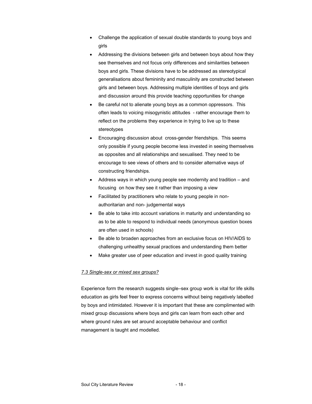- Challenge the application of sexual double standards to young boys and girls
- Addressing the divisions between girls and between boys about how they see themselves and not focus only differences and similarities between boys and girls. These divisions have to be addressed as stereotypical generalisations about femininity and masculinity are constructed between girls and between boys. Addressing multiple identities of boys and girls and discussion around this provide teaching opportunities for change
- Be careful not to alienate young boys as a common oppressors. This often leads to voicing misogynistic attitudes - rather encourage them to reflect on the problems they experience in trying to live up to these stereotypes
- Encouraging discussion about cross-gender friendships. This seems only possible if young people become less invested in seeing themselves as opposites and all relationships and sexualised. They need to be encourage to see views of others and to consider alternative ways of constructing friendships.
- Address ways in which young people see modernity and tradition and focusing on how they see it rather than imposing a view
- Facilitated by practitioners who relate to young people in nonauthoritarian and non- judgemental ways
- Be able to take into account variations in maturity and understanding so as to be able to respond to individual needs (anonymous question boxes are often used in schools)
- Be able to broaden approaches from an exclusive focus on HIV/AIDS to challenging unhealthy sexual practices and understanding them better
- Make greater use of peer education and invest in good quality training

# *7.3 Single-sex or mixed sex groups?*

Experience form the research suggests single–sex group work is vital for life skills education as girls feel freer to express concerns without being negatively labelled by boys and intimidated. However it is important that these are complimented with mixed group discussions where boys and girls can learn from each other and where ground rules are set around acceptable behaviour and conflict management is taught and modelled.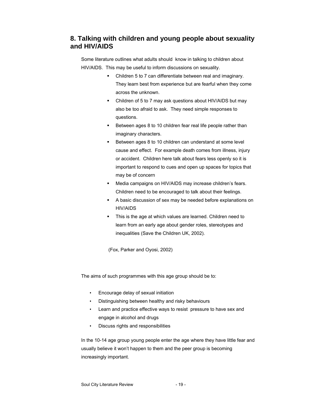# **8. Talking with children and young people about sexuality and HIV/AIDS**

Some literature outlines what adults should know in talking to children about HIV/AIDS. This may be useful to inform discussions on sexuality.

- Children 5 to 7 can differentiate between real and imaginary. They learn best from experience but are fearful when they come across the unknown.
- Children of 5 to 7 may ask questions about HIV/AIDS but may also be too afraid to ask. They need simple responses to questions.
- Between ages 8 to 10 children fear real life people rather than imaginary characters.
- Between ages 8 to 10 children can understand at some level cause and effect. For example death comes from illness, injury or accident. Children here talk about fears less openly so it is important to respond to cues and open up spaces for topics that may be of concern
- Media campaigns on HIV/AIDS may increase children's fears. Children need to be encouraged to talk about their feelings.
- A basic discussion of sex may be needed before explanations on HIV/AIDS
- This is the age at which values are learned. Children need to learn from an early age about gender roles, stereotypes and inequalities (Save the Children UK, 2002).

(Fox, Parker and Oyosi, 2002)

The aims of such programmes with this age group should be to:

- Encourage delay of sexual initiation
- Distinguishing between healthy and risky behaviours
- Learn and practice effective ways to resist pressure to have sex and engage in alcohol and drugs
- Discuss rights and responsibilities

In the 10-14 age group young people enter the age where they have little fear and usually believe it won't happen to them and the peer group is becoming increasingly important.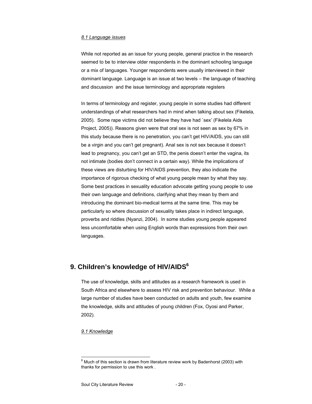#### *8.1 Language issues*

While not reported as an issue for young people, general practice in the research seemed to be to interview older respondents in the dominant schooling language or a mix of languages. Younger respondents were usually interviewed in their dominant language. Language is an issue at two levels – the language of teaching and discussion and the issue terminology and appropriate registers

In terms of terminology and register, young people in some studies had different understandings of what researchers had in mind when talking about sex (Fikelela, 2005). Some rape victims did not believe they have had `sex' (Fikelela Aids Project, 2005)). Reasons given were that oral sex is not seen as sex by 67% in this study because there is no penetration, you can't get HIV/AIDS, you can still be a virgin and you can't get pregnant). Anal sex is not sex because it doesn't lead to pregnancy, you can't get an STD, the penis doesn't enter the vagina, its not intimate (bodies don't connect in a certain way). While the implications of these views are disturbing for HIV/AIDS prevention, they also indicate the importance of rigorous checking of what young people mean by what they say. Some best practices in sexuality education advocate getting young people to use their own language and definitions, clarifying what they mean by them and introducing the dominant bio-medical terms at the same time. This may be particularly so where discussion of sexuality takes place in indirect language, proverbs and riddles (Nyanzi, 2004). In some studies young people appeared less uncomfortable when using English words than expressions from their own languages.

# 9. Children's knowledge of HIV/AIDS<sup>6</sup>

The use of knowledge, skills and attitudes as a research framework is used in South Africa and elsewhere to assess HIV risk and prevention behaviour. While a large number of studies have been conducted on adults and youth, few examine the knowledge, skills and attitudes of young children (Fox, Oyosi and Parker, 2002).

### *9.1 Knowledge*

 $^6$  Much of this section is drawn from literature review work by Badenhorst (2003) with thanks for permission to use this work .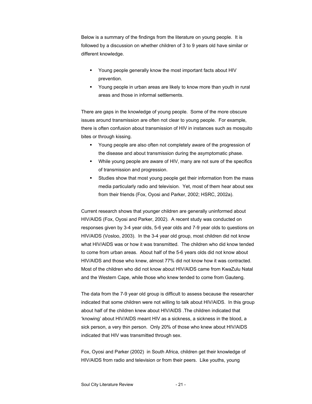Below is a summary of the findings from the literature on young people. It is followed by a discussion on whether children of 3 to 9 years old have similar or different knowledge.

- Young people generally know the most important facts about HIV prevention.
- Young people in urban areas are likely to know more than youth in rural areas and those in informal settlements.

There are gaps in the knowledge of young people. Some of the more obscure issues around transmission are often not clear to young people. For example, there is often confusion about transmission of HIV in instances such as mosquito bites or through kissing.

- Young people are also often not completely aware of the progression of the disease and about transmission during the asymptomatic phase.
- While young people are aware of HIV, many are not sure of the specifics of transmission and progression.
- Studies show that most young people get their information from the mass media particularly radio and television. Yet, most of them hear about sex from their friends (Fox, Oyosi and Parker, 2002; HSRC, 2002a).

Current research shows that younger children are generally uninformed about HIV/AIDS (Fox, Oyosi and Parker, 2002). A recent study was conducted on responses given by 3-4 year olds, 5-6 year olds and 7-9 year olds to questions on HIV/AIDS (Vosloo, 2003). In the 3-4 year old group, most children did not know what HIV/AIDS was or how it was transmitted. The children who did know tended to come from urban areas. About half of the 5-6 years olds did not know about HIV/AIDS and those who knew, almost 77% did not know how it was contracted. Most of the children who did not know about HIV/AIDS came from KwaZulu Natal and the Western Cape, while those who knew tended to come from Gauteng.

The data from the 7-9 year old group is difficult to assess because the researcher indicated that some children were not willing to talk about HIV/AIDS. In this group about half of the children knew about HIV/AIDS .The children indicated that 'knowing' about HIV/AIDS meant HIV as a sickness, a sickness in the blood, a sick person, a very thin person. Only 20% of those who knew about HIV/AIDS indicated that HIV was transmitted through sex.

Fox, Oyosi and Parker (2002) in South Africa, children get their knowledge of HIV/AIDS from radio and television or from their peers. Like youths, young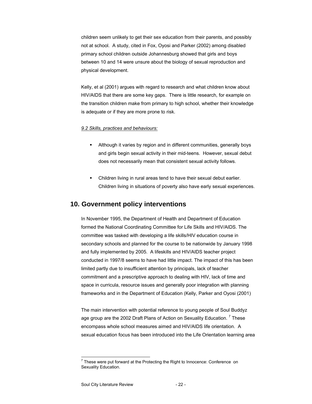children seem unlikely to get their sex education from their parents, and possibly not at school. A study, cited in Fox, Oyosi and Parker (2002) among disabled primary school children outside Johannesburg showed that girls and boys between 10 and 14 were unsure about the biology of sexual reproduction and physical development.

Kelly, et al (2001) argues with regard to research and what children know about HIV/AIDS that there are some key gaps. There is little research, for example on the transition children make from primary to high school, whether their knowledge is adequate or if they are more prone to risk.

#### *9.2 Skills, practices and behaviours:*

- Although it varies by region and in different communities, generally boys and girls begin sexual activity in their mid-teens. However, sexual debut does not necessarily mean that consistent sexual activity follows.
- Children living in rural areas tend to have their sexual debut earlier. Children living in situations of poverty also have early sexual experiences.

# **10. Government policy interventions**

In November 1995, the Department of Health and Department of Education formed the National Coordinating Committee for Life Skills and HIV/AIDS. The committee was tasked with developing a life skills/HIV education course in secondary schools and planned for the course to be nationwide by January 1998 and fully implemented by 2005. A lifeskills and HIV/AIDS teacher project conducted in 1997/8 seems to have had little impact. The impact of this has been limited partly due to insufficient attention by principals, lack of teacher commitment and a prescriptive approach to dealing with HIV, lack of time and space in curricula, resource issues and generally poor integration with planning frameworks and in the Department of Education (Kelly, Parker and Oyosi (2001)

The main intervention with potential reference to young people of Soul Buddyz age group are the 2002 Draft Plans of Action on Sexuality Education.<sup>7</sup> These encompass whole school measures aimed and HIV/AIDS life orientation. A sexual education focus has been introduced into the Life Orientation learning area

 $<sup>7</sup>$  These were put forward at the Protecting the Right to Innocence: Conference on</sup> Sexuality Education.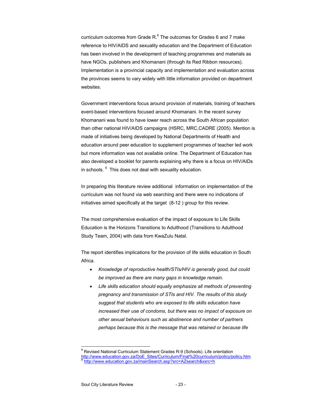curriculum outcomes from Grade  $R^8$ . The outcomes for Grades 6 and 7 make reference to HIV/AIDS and sexuality education and the Department of Education has been involved in the development of teaching programmes and materials as have NGOs, publishers and Khomanani (through its Red Ribbon resources). Implementation is a provincial capacity and implementation and evaluation across the provinces seems to vary widely with little information provided on department websites.

Government interventions focus around provision of materials, training of teachers event-based interventions focused around Khomanani. In the recent survey Khomanani was found to have lower reach across the South African population than other national HIV/AIDS campaigns (HSRC, MRC,CADRE (2005). Mention is made of initiatives being developed by National Departments of Health and education around peer education to supplement programmes of teacher led work but more information was not available online. The Department of Education has also developed a booklet for parents explaining why there is a focus on HIV/AIDs in schools. <sup>9</sup> This does not deal with sexuality education.

In preparing this literature review additional information on implementation of the curriculum was not found via web searching and there were no indications of initiatives aimed specifically at the target (8-12 ) group for this review.

The most comprehensive evaluation of the impact of exposure to Life Skills Education is the Horizons Transitions to Adulthood (Transitions to Adulthood Study Team, 2004) with data from KwaZulu Natal.

The report identifies implications for the provision of life skills education in South Africa.

- *Knowledge of reproductive health/STIs/HIV is generally good, but could be improved as there are many gaps in knowledge remain.*
- *Life skills education should equally emphasize all methods of preventing pregnancy and transmission of STIs and HIV. The results of this study suggest that students who are exposed to life skills education have increased their use of condoms, but there was no impact of exposure on other sexual behaviours such as abstinence and number of partners perhaps because this is the message that was retained or because life*

 8 Revised National Curriculum Statement Grades R-9 (Schools). Life orientation http://www.education.gov.za/DoE\_Sites/Curriculum/Final%20curriculum/policy/policy.htm http://www.education.gov.za/mainSearch.asp?src=AZsearch&xsrc=h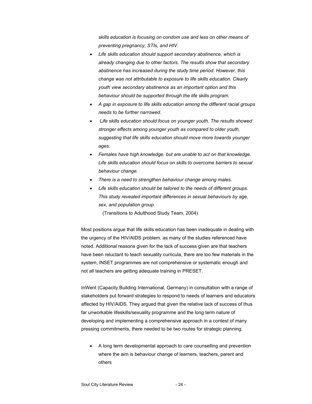*skills education is focusing on condom use and less on other means of preventing pregnancy, STIs, and HIV.* 

- *Life skills education should support secondary abstinence, which is already changing due to other factors. The results show that secondary abstinence has increased during the study time period. However, this change was not attributable to exposure to life skills education. Clearly youth view secondary abstinence as an important option and this behaviour should be supported through the life skills program.*
- *A gap in exposure to life skills education among the different racial groups needs to be further narrowed.*
- • *Life skills education should focus on younger youth. The results showed stronger effects among younger youth as compared to older youth, suggesting that life skills education should move more towards younger ages.*
- *Females have high knowledge, but are unable to act on that knowledge. Life skills education should focus on skills to overcome barriers to sexual behaviour change.*
- *There is a need to strengthen behaviour change among males.*
- *Life skills education should be tailored to the needs of different groups. This study revealed important differences in sexual behaviours by age, sex, and population group.*

(Transitions to Adulthood Study Team, 2004)

Most positions argue that life skills education has been inadequate in dealing with the urgency of the HIV/AIDS problem. as many of the studies referenced have noted. Additional reasons given for the lack of success given are that teachers have been reluctant to teach sexuality curricula, there are too few materials in the system, INSET programmes are not comprehensive or systematic enough and not all teachers are getting adequate training in PRESET.

InWent (Capacity Building International, Germany) in consultation with a range of stakeholders put forward strategies to respond to needs of learners and educators affected by HIV/AIDS. They argued that given the relative lack of success of thus far unworkable lifeskills/sexuality programme and the long term nature of developing and implementing a comprehensive approach in a contest of many pressing commitments, there needed to be two routes for strategic planning.

• A long term developmental approach to care counselling and prevention where the aim is behaviour change of learners, teachers, parent and others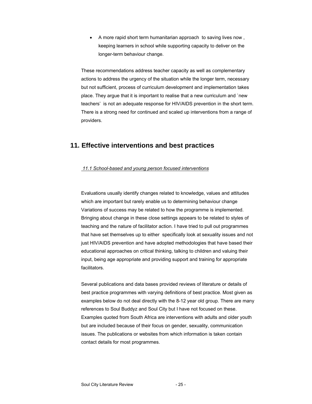• A more rapid short term humanitarian approach to saving lives now , keeping learners in school while supporting capacity to deliver on the longer-term behaviour change.

These recommendations address teacher capacity as well as complementary actions to address the urgency of the situation while the longer term, necessary but not sufficient, process of curriculum development and implementation takes place. They argue that it is important to realise that a new curriculum and `new teachers' is not an adequate response for HIV/AIDS prevention in the short term. There is a strong need for continued and scaled up interventions from a range of providers.

# **11. Effective interventions and best practices**

### *11.1 School-based and young person focused interventions*

Evaluations usually identify changes related to knowledge, values and attitudes which are important but rarely enable us to determining behaviour change Variations of success may be related to how the programme is implemented. Bringing about change in these close settings appears to be related to styles of teaching and the nature of facilitator action. I have tried to pull out programmes that have set themselves up to either specifically look at sexuality issues and not just HIV/AIDS prevention and have adopted methodologies that have based their educational approaches on critical thinking, talking to children and valuing their input, being age appropriate and providing support and training for appropriate facilitators.

Several publications and data bases provided reviews of literature or details of best practice programmes with varying definitions of best practice. Most given as examples below do not deal directly with the 8-12 year old group. There are many references to Soul Buddyz and Soul City but I have not focused on these. Examples quoted from South Africa are interventions with adults and older youth but are included because of their focus on gender, sexuality, communication issues. The publications or websites from which information is taken contain contact details for most programmes.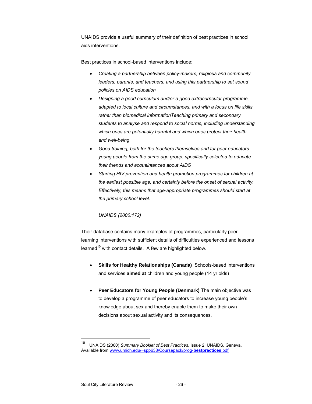UNAIDS provide a useful summary of their definition of best practices in school aids interventions.

Best practices in school-based interventions include:

- *Creating a partnership between policy-makers, religious and community leaders, parents, and teachers, and using this partnership to set sound policies on AIDS education*
- *Designing a good curriculum and/or a good extracurricular programme, adapted to local culture and circumstances, and with a focus on life skills rather than biomedical informationTeaching primary and secondary students to analyse and respond to social norms, including understanding which ones are potentially harmful and which ones protect their health and well-being*
- *Good training, both for the teachers themselves and for peer educators young people from the same age group, specifically selected to educate their friends and acquaintances about AIDS*
- *Starting HIV prevention and health promotion programmes for children at the earliest possible age, and certainly before the onset of sexual activity. Effectively, this means that age-appropriate programmes should start at the primary school level.*

# *UNAIDS (2000:172)*

Their database contains many examples of programmes, particularly peer learning interventions with sufficient details of difficulties experienced and lessons learned<sup>10</sup> with contact details. A few are highlighted below.

- **Skills for Healthy Relationships (Canada)** Schools-based interventions and services **aimed at** children and young people (14 yr olds)
- **Peer Educators for Young People (Denmark)** The main objective was to develop a programme of peer educators to increase young people's knowledge about sex and thereby enable them to make their own decisions about sexual activity and its consequences.

<sup>10</sup> UNAIDS (2000) *Summary Booklet of Best Practices*, Issue 2, UNAIDS, Geneva. Available from www.umich.edu/~spp638/Coursepack/prog-**bestpractices**.pdf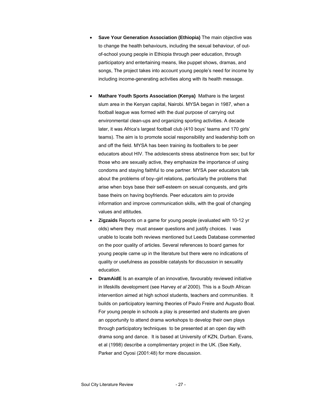- **Save Your Generation Association (Ethiopia)** The main objective was to change the health behaviours, including the sexual behaviour, of outof-school young people in Ethiopia through peer education, through participatory and entertaining means, like puppet shows, dramas, and songs, The project takes into account young people's need for income by including income-generating activities along with its health message.
- **Mathare Youth Sports Association (Kenya)** Mathare is the largest slum area in the Kenyan capital, Nairobi. MYSA began in 1987, when a football league was formed with the dual purpose of carrying out environmental clean-ups and organizing sporting activities. A decade later, it was Africa's largest football club (410 boys' teams and 170 girls' teams). The aim is to promote social responsibility and leadership both on and off the field. MYSA has been training its footballers to be peer educators about HIV. The adolescents stress abstinence from sex; but for those who are sexually active, they emphasize the importance of using condoms and staying faithful to one partner. MYSA peer educators talk about the problems of boy–girl relations, particularly the problems that arise when boys base their self-esteem on sexual conquests, and girls base theirs on having boyfriends. Peer educators aim to provide information and improve communication skills, with the goal of changing values and attitudes.
- **Zigzaids** Reports on a game for young people (evaluated with 10-12 yr olds) where they must answer questions and justify choices. I was unable to locate both reviews mentioned but Leeds Database commented on the poor quality of articles. Several references to board games for young people came up in the literature but there were no indications of quality or usefulness as possible catalysts for discussion in sexuality education.
- **DramAidE** Is an example of an innovative, favourably reviewed initiative in lifeskills development (see Harvey *et al* 2000). This is a South African intervention aimed at high school students, teachers and communities. It builds on participatory learning theories of Paulo Freire and Augusto Boal. For young people in schools a play is presented and students are given an opportunity to attend drama workshops to develop their own plays through participatory techniques to be presented at an open day with drama song and dance. It is based at University of KZN, Durban. Evans, et al (1998) describe a complimentary project in the UK. (See Kelly, Parker and Oyosi (2001:48) for more discussion.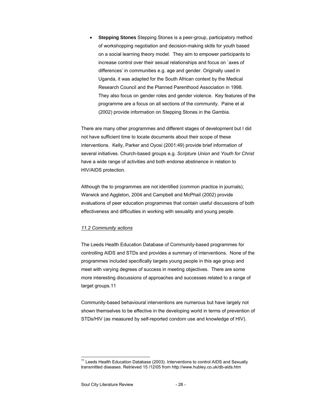• **Stepping Stones** Stepping Stones is a peer-group, participatory method of workshopping negotiation and decision-making skills for youth based on a social learning theory model. They aim to empower participants to increase control over their sexual relationships and focus on `axes of differences' in communities e.g. age and gender. Originally used in Uganda, it was adapted for the South African context by the Medical Research Council and the Planned Parenthood Association in 1998. They also focus on gender roles and gender violence. Key features of the programme are a focus on all sections of the community. Paine et al (2002) provide information on Stepping Stones in the Gambia.

There are many other programmes and different stages of development but I did not have sufficient time to locate documents about their scope of these interventions. Kelly, Parker and Oyosi (2001:49) provide brief information of several initiatives. Church-based groups e.g. *Scripture Union* and *Youth for Christ* have a wide range of activities and both endorse abstinence in relation to HIV/AIDS protection.

Although the to programmes are not identified (common practice in journals), Warwick and Aggleton, 2004 and Campbell and McPhail (2002) provide evaluations of peer education programmes that contain useful discussions of both effectiveness and difficulties in working with sexuality and young people.

### *11.2 Community actions*

The Leeds Health Education Database of Community-based programmes for controlling AIDS and STDs and provides a summary of interventions. None of the programmes included specifically targets young people in this age group and meet with varying degrees of success in meeting objectives. There are some more interesting discussions of approaches and successes related to a range of target groups.11

Community-based behavioural interventions are numerous but have largely not shown themselves to be effective in the developing world in terms of prevention of STDs/HIV (as measured by self-reported condom use and knowledge of HIV).

<sup>&</sup>lt;sup>11</sup> Leeds Health Education Database (2003). Interventions to control AIDS and Sexually transmitted diseases. Retrieved 15 /12/05 from http://www.hubley.co.uk/db-aids.htm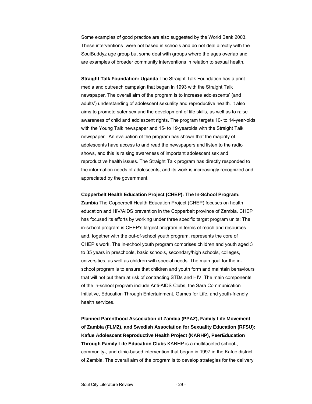Some examples of good practice are also suggested by the World Bank 2003. These interventions were not based in schools and do not deal directly with the SoulBuddyz age group but some deal with groups where the ages overlap and are examples of broader community interventions in relation to sexual health.

**Straight Talk Foundation: Uganda** The Straight Talk Foundation has a print media and outreach campaign that began in 1993 with the Straight Talk newspaper. The overall aim of the program is to increase adolescents' (and adults') understanding of adolescent sexuality and reproductive health. It also aims to promote safer sex and the development of life skills, as well as to raise awareness of child and adolescent rights. The program targets 10- to 14-year-olds with the Young Talk newspaper and 15- to 19-yearolds with the Straight Talk newspaper. An evaluation of the program has shown that the majority of adolescents have access to and read the newspapers and listen to the radio shows, and this is raising awareness of important adolescent sex and reproductive health issues. The Straight Talk program has directly responded to the information needs of adolescents, and its work is increasingly recognized and appreciated by the government.

#### **Copperbelt Health Education Project (CHEP): The In-School Program:**

**Zambia** The Copperbelt Health Education Project (CHEP) focuses on health education and HIV/AIDS prevention in the Copperbelt province of Zambia. CHEP has focused its efforts by working under three specific target program units: The in-school program is CHEP's largest program in terms of reach and resources and, together with the out-of-school youth program, represents the core of CHEP's work. The in-school youth program comprises children and youth aged 3 to 35 years in preschools, basic schools, secondary/high schools, colleges, universities, as well as children with special needs. The main goal for the inschool program is to ensure that children and youth form and maintain behaviours that will not put them at risk of contracting STDs and HIV. The main components of the in-school program include Anti-AIDS Clubs, the Sara Communication Initiative, Education Through Entertainment, Games for Life, and youth-friendly health services.

**Planned Parenthood Association of Zambia (PPAZ), Family Life Movement of Zambia (FLMZ), and Swedish Association for Sexuality Education (RFSU): Kafue Adolescent Reproductive Health Project (KARHP), PeerEducation Through Family Life Education Clubs** KARHP is a multifaceted school-, community-, and clinic-based intervention that began in 1997 in the Kafue district of Zambia. The overall aim of the program is to develop strategies for the delivery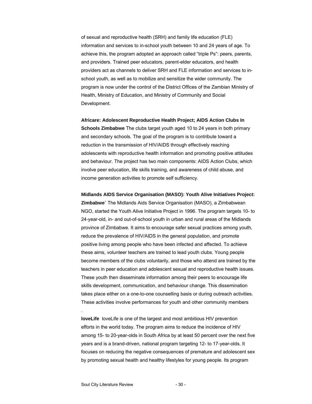of sexual and reproductive health (SRH) and family life education (FLE) information and services to in-school youth between 10 and 24 years of age. To achieve this, the program adopted an approach called "triple Ps": peers, parents, and providers. Trained peer educators, parent-elder educators, and health providers act as channels to deliver SRH and FLE information and services to inschool youth, as well as to mobilize and sensitize the wider community. The program is now under the control of the District Offices of the Zambian Ministry of Health, Ministry of Education, and Ministry of Community and Social Development.

#### **Africare: Adolescent Reproductive Health Project; AIDS Action Clubs In**

**Schools Zimbabwe** The clubs target youth aged 10 to 24 years in both primary and secondary schools. The goal of the program is to contribute toward a reduction in the transmission of HIV/AIDS through effectively reaching adolescents with reproductive health information and promoting positive attitudes and behaviour. The project has two main components: AIDS Action Clubs, which involve peer education, life skills training, and awareness of child abuse, and income generation activities to promote self sufficiency.

**Midlands AIDS Service Organisation (MASO): Youth Alive Initiatives Project: Zimbabwe`** The Midlands Aids Service Organisation (MASO), a Zimbabwean NGO, started the Youth Alive Initiative Project in 1996. The program targets 10- to 24-year-old, in- and out-of-school youth in urban and rural areas of the Midlands province of Zimbabwe. It aims to encourage safer sexual practices among youth, reduce the prevalence of HIV/AIDS in the general population, and promote positive living among people who have been infected and affected. To achieve these aims, volunteer teachers are trained to lead youth clubs. Young people become members of the clubs voluntarily, and those who attend are trained by the teachers in peer education and adolescent sexual and reproductive health issues. These youth then disseminate information among their peers to encourage life skills development, communication, and behaviour change. This dissemination takes place either on a one-to-one counselling basis or during outreach activities. These activities involve performances for youth and other community members

**loveLife** loveLife is one of the largest and most ambitious HIV prevention efforts in the world today. The program aims to reduce the incidence of HIV among 15- to 20-year-olds in South Africa by at least 50 percent over the next five years and is a brand-driven, national program targeting 12- to 17-year-olds. It focuses on reducing the negative consequences of premature and adolescent sex by promoting sexual health and healthy lifestyles for young people. Its program

.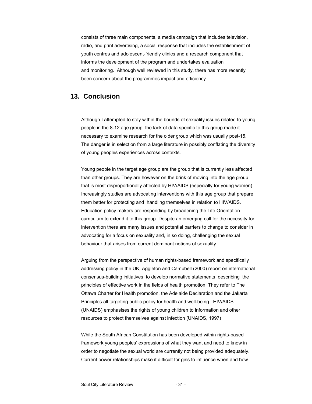consists of three main components, a media campaign that includes television, radio, and print advertising, a social response that includes the establishment of youth centres and adolescent-friendly clinics and a research component that informs the development of the program and undertakes evaluation and monitoring. Although well reviewed in this study, there has more recently been concern about the programmes impact and efficiency.

# **13. Conclusion**

Although I attempted to stay within the bounds of sexuality issues related to young people in the 8-12 age group, the lack of data specific to this group made it necessary to examine research for the older group which was usually post-15. The danger is in selection from a large literature in possibly conflating the diversity of young peoples experiences across contexts.

Young people in the target age group are the group that is currently less affected than other groups. They are however on the brink of moving into the age group that is most disproportionally affected by HIV/AIDS (especially for young women). Increasingly studies are advocating interventions with this age group that prepare them better for protecting and handling themselves in relation to HIV/AIDS. Education policy makers are responding by broadening the Life Orientation curriculum to extend it to this group. Despite an emerging call for the necessity for intervention there are many issues and potential barriers to change to consider in advocating for a focus on sexuality and, in so doing, challenging the sexual behaviour that arises from current dominant notions of sexuality.

Arguing from the perspective of human rights-based framework and specifically addressing policy in the UK, Aggleton and Campbell (2000) report on international consensus-building initiatives to develop normative statements describing the principles of effective work in the fields of health promotion. They refer to The Ottawa Charter for Health promotion, the Adelaide Declaration and the Jakarta Principles all targeting public policy for health and well-being. HIV/AIDS (UNAIDS) emphasises the rights of young children to information and other resources to protect themselves against infection (UNAIDS, 1997)

While the South African Constitution has been developed within rights-based framework young peoples' expressions of what they want and need to know in order to negotiate the sexual world are currently not being provided adequately. Current power relationships make it difficult for girls to influence when and how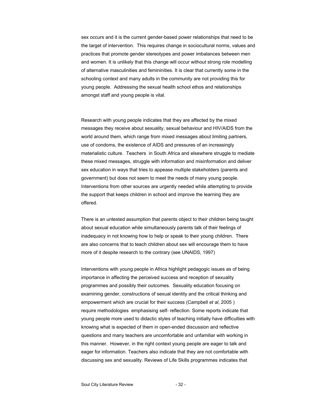sex occurs and it is the current gender-based power relationships that need to be the target of intervention. This requires change in sociocultural norms, values and practices that promote gender stereotypes and power imbalances between men and women. It is unlikely that this change will occur without strong role modelling of alternative masculinities and femininities. It is clear that currently some in the schooling context and many adults in the community are not providing this for young people. Addressing the sexual health school ethos and relationships amongst staff and young people is vital.

Research with young people indicates that they are affected by the mixed messages they receive about sexuality, sexual behaviour and HIV/AIDS from the world around them, which range from mixed messages about limiting partners, use of condoms, the existence of AIDS and pressures of an increasingly materialistic culture. Teachers in South Africa and elsewhere struggle to mediate these mixed messages, struggle with information and misinformation and deliver sex education in ways that tries to appease multiple stakeholders (parents and government) but does not seem to meet the needs of many young people. Interventions from other sources are urgently needed while attempting to provide the support that keeps children in school and improve the learning they are offered.

There is an untested assumption that parents object to their children being taught about sexual education while simultaneously parents talk of their feelings of inadequacy in not knowing how to help or speak to their young children. There are also concerns that to teach children about sex will encourage them to have more of it despite research to the contrary (see UNAIDS, 1997)

Interventions with young people in Africa highlight pedagogic issues as of being importance in affecting the perceived success and reception of sexuality programmes and possibly their outcomes. Sexuality education focusing on examining gender, constructions of sexual identity and the critical thinking and empowerment which are crucial for their success (Campbell *et al*, 2005 ) require methodologies emphasising self- reflection. Some reports indicate that young people more used to didactic styles of teaching initially have difficulties with knowing what is expected of them in open-ended discussion and reflective questions and many teachers are uncomfortable and unfamiliar with working in this manner. However, in the right context young people are eager to talk and eager for information. Teachers also indicate that they are not comfortable with discussing sex and sexuality. Reviews of Life Skills programmes indicates that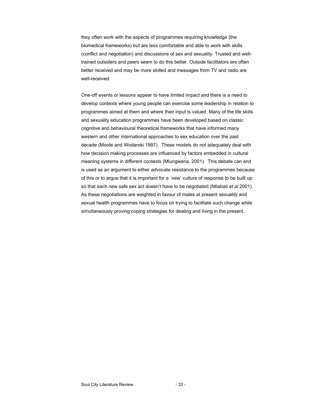they often work with the aspects of programmes requiring knowledge (the biomedical frameworks) but are less comfortable and able to work with skills (conflict and negotiation) and discussions of sex and sexuality. Trusted and welltrained outsiders and peers seem to do this better. Outside facilitators are often better received and may be more skilled and messages from TV and radio are well-received.

One-off events or lessons appear to have limited impact and there is a need to develop contexts where young people can exercise some leadership in relation to programmes aimed at them and where their input is valued. Many of the life skills and sexuality education programmes have been developed based on classic cognitive and behavioural theoretical frameworks that have informed many western and other international approaches to sex education over the past decade (Moote and Wodarski 1997). These models do not adequately deal with how decision making processes are influenced by factors embedded in cultural meaning systems in different contexts (Mlungwana, 2001). This debate can and is used as an argument to either advocate resistance to the programmes because of this or to argue that it is important for a `new' culture of response to be built up so that each new safe sex act doesn't have to be negotiated (Ntlabati *et al* 2001). As these negotiations are weighted in favour of males at present sexuality and sexual health programmes have to focus on trying to facilitate such change while simultaneously proving coping strategies for dealing and living in the present.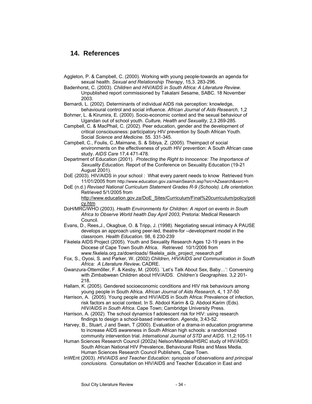# **14. References**

- Aggleton, P. & Campbell, C. (2000). Working with young people-towards an agenda for sexual health. *Sexual and Relationship Therapy*, 15,3. 283-296.
- Badenhorst, C. (2003). *Children and HIV/AIDS in South Africa: A Literature Review*. Unpublished report commissioned by Takalani Sesame, SABC. 18 November 2003.
- Bernardi, L. (2002). Determinants of individual AIDS risk perception: knowledge, behavioural control and social influence. *African Journal of Aids Research*, 1,2
- Bohmer, L. & Kirumira, E. (2000). Socio-economic context and the sexual behaviour of Ugandan out of school youth. *Culture, Health and Sexuality*, 2,3 269-285.
- Campbell, C. & MacPhail, C. (2002). Peer education, gender and the development of critical consciousness: participatory HIV prevention by South African Youth. Social *Science and Medicine.* 55. 331-345.
- Campbell, C., Foulis, C.,Maimane, S. & Sibiya, Z. (2005). Theimpact of social environments on the effectiveness of youth HIV prevention: A South African case study. *AIDS Care* 17,4 471-478.
- Department of Education (2001). *Protecting the Right to Innocence: The Importance of Sexuality Education.* Report of the Conference on Sexuality Education (19-21 August 2001).
- DoE (2003). HIV/AIDS in your school : What every parent needs to know Retrieved from 11/01/2005 from http://www.education.gov.za/mainSearch.asp?src=AZsearch&xsrc=h
- DoE (n.d.) *Revised National Curriculum Statement Grades R-9 (Schools). Life orientation.* Retrieved 5/1/2005 from

http://www.education.gov.za/DoE\_Sites/Curriculum/Final%20curriculum/policy/poli cy.htm

- DoH/MRC/WHO (2003). *Health Environments for Children: A report on events in South Africa to Observe World health Day April 2003*, Pretoria: Medical Research Council.
- Evans, D., Rees,J., Okagbue, O. & Tripp, J. (1998). Negotiating sexual intimacy A PAUSE develops an approach using peer-led, theatre-for –development model in the classroom. *Health Education*. 98, 6 230-239
- Fikelela AIDS Project (2005). Youth and Sexuality Research Ages 12-19 years in the Diocese of Cape Town South Africa. Retrieved 10/1/2006 from www.fikelela.org.za/downloads/ fikelela\_aids\_project\_research.pdf
- Fox, S., Oyosi, S. and Parker, W. (2002) *Children, HIV/AIDS and Communication in South Africa: A Literature Review***.** CADRE.
- Gwanzura-Ottemőller, F. & Kesby, M. (2005). `Let's Talk About Sex, Baby…': Conversing with Zimbabwean Children about HIV/AIDS. *Children's Geographies*. 3,2 201- 218.
- Hallam, K. (2005). Gendered socioeconomic conditions and HIV risk behaviours among young people in South Africa. *African Journal of Aids Research*, 4, 1 37-50
- Harrison, A. (2005). Young people and HIV/AIDS in South Africa: Prevalence of infection, risk factors an social context. In S. Abdool Karim & Q. Abdool Karim (Eds). *HIV/AIDS in South Africa*. Cape Town; Cambridge University Press.
- Harrison, A. (2002). The school dynamics f adolescent risk for HIV: using research findings to design a school-based intervention. *Agenda,* 3:43-52.
- Harvey, B., Stuart, J and Swan, T (2000). Evaluation of a drama-in education programme to increase AIDS awareness in South African high schools: a randomized community intervention trial. *International Journal of STD and AIDS*. 11,2:105-11
- Human Sciences Research Council (2002a) Nelson/Mandela/HSRC study of HIV/AIDS: South African National HIV Prevalence, Behavioural Risks and Mass Media. Human Sciences Research Council Publishers, Cape Town.
- InWEnt (2003). *HIV/AIDS and Teacher Education: synopsis of observations and principal conclusions.* Consultation on HIV/AIDS and Teacher Education in East and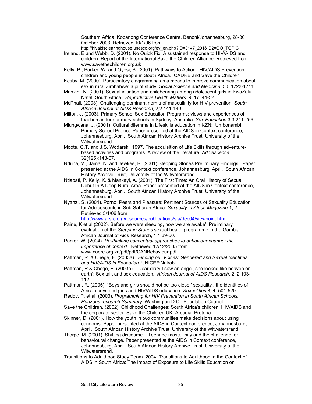Southern Africa, Kopanong Conference Centre, Benoni/Johannesburg, 28-30 October 2003. Retrieved 10/1/06 from

http://hivaidsclearinghouse.unesco.org/ev\_en.php?ID=3147\_201&ID2=DO\_TOPIC

- Ireland, E and Webb, D. (2001). No Quick Fix: A sustained response to HIV/AIDS and children. Report of the International Save the Children Alliance. Retrieved from www.savethechildren.org.uk
- Kelly, P., Parker, W. and Oyosi, S. (2001) Pathways to Action: HIV/AIDS Prevention, children and young people in South Africa. CADRE and Save the Children.
- Kesby, M. (2000). Participatory diagramming as a means to improve communication about sex in rural Zimbabwe: a pilot study. *Social Science and Medicine*, 50. 1723-1741.
- Manzini, N. (2001). Sexual initiation and childbearing among adolescent girls in KwaZulu Natal, South Africa. *Reproductive Health Matters.* 9, 17. 44-52.
- McPhail, (2003). Challenging dominant norms of masculinity for HIV prevention. *South African Journal of AIDS Research*, 2,2 141-149.
- Milton, J. (2003). Primary School Sex Education Programs: views and experiences of teachers in four primary schools in Sydney, Australia. *Sex Education* 3,3.241-256
- Mlungwana, J. (2001) Cultural dilemma in Lifeskills education in KZN: Umbonambi Primary School Project. Paper presented at the AIDS in Context conference, Johannesburg, April. South African History Archive Trust, University of the Witwatersrand.
- Moote, G.T. and J.S. Wodarski. 1997. The acquisition of Life Skills through adventurebased activities and programs. A review of the literature. *Adolescence.*  32(125):143-67.
- Nduna, M., Jama, N. and Jewkes, R. (2001) Stepping Stones Preliminary Findings. Paper presented at the AIDS in Context conference, Johannesburg, April. South African History Archive Trust, University of the Witwatersrand.
- Ntlabati, P.,Kelly, K. & Mankayi, A. (2001). The First Time: An Oral History of Sexual Debut In A Deep Rural Area. Paper presented at the AIDS in Context conference, Johannesburg, April. South African History Archive Trust, University of the Witwatersrand.
- Nyanzi, S. (2004). Porno, Peers and Pleasure: Pertinent Sources of Sexuality Education for Adolsescents in Sub-Saharan Africa. *Sexuality in Africa Magazine* 1, 2. Retrieved 5/1/06 from
- http://www.arsrc.org/resources/publications/sia/dec04/viewpoint.htm Paine, K et al (2002). Before we were sleeping, now we are awake': Preliminary
- evaluation of the *Stepping Stones* sexual health programme in the Gambia. African Journal of Aids Research, 1,1 39-50.
- Parker, W. (2004). *Re-thinking conceptual approaches to behaviour change: the importance of context.* Retrieved 12/12/2005 from www.cadre.org.za/pdf/pdf/CANBehaviour.pdf
- Pattman, R. & Chege, F. (2003a). *Finding our Voices: Gendered and Sexual Identities and HIV/AIDS in Education.* UNICEF:Nairobi.
- Pattman, R & Chege, F. (2003b). `Dear diary I saw an angel, she looked like heaven on earth': Sex talk and sex education. *African Journal of AIDS Research*. 2, 2.103- 112.
- Pattman, R. (2005). `Boys and girls should not be too close:' sexuality , the identities of African boys and girls and HIV/AIDS education. *Sexualities* 8, 4. 501-520
- Reddy, P. et al. (2003). *Programming for HIV Prevention in South African Schools. Horizons research Summary.* Washington D.C.: Population Council.
- Save the Children. (2002). Childhood Challenges: South Africa's children, HIV/AIDS and the corporate sector. Save the Children UK, Arcadia, Pretoria
- Skinner, D. (2001). How the youth in two communities make decisions about using condoms. Paper presented at the AIDS in Context conference, Johannesburg, April. South African History Archive Trust, University of the Witwatersrand.
- Thorpe, M. (2001). Shifting discourse Teenage masculinity and the challenge for behavioural change. Paper presented at the AIDS in Context conference, Johannesburg, April. South African History Archive Trust, University of the Witwatersrand.
- Transitions to Adulthood Study Team. 2004. Transitions to Adulthood in the Context of AIDS in South Africa: The Impact of Exposure to Life Skills Education on